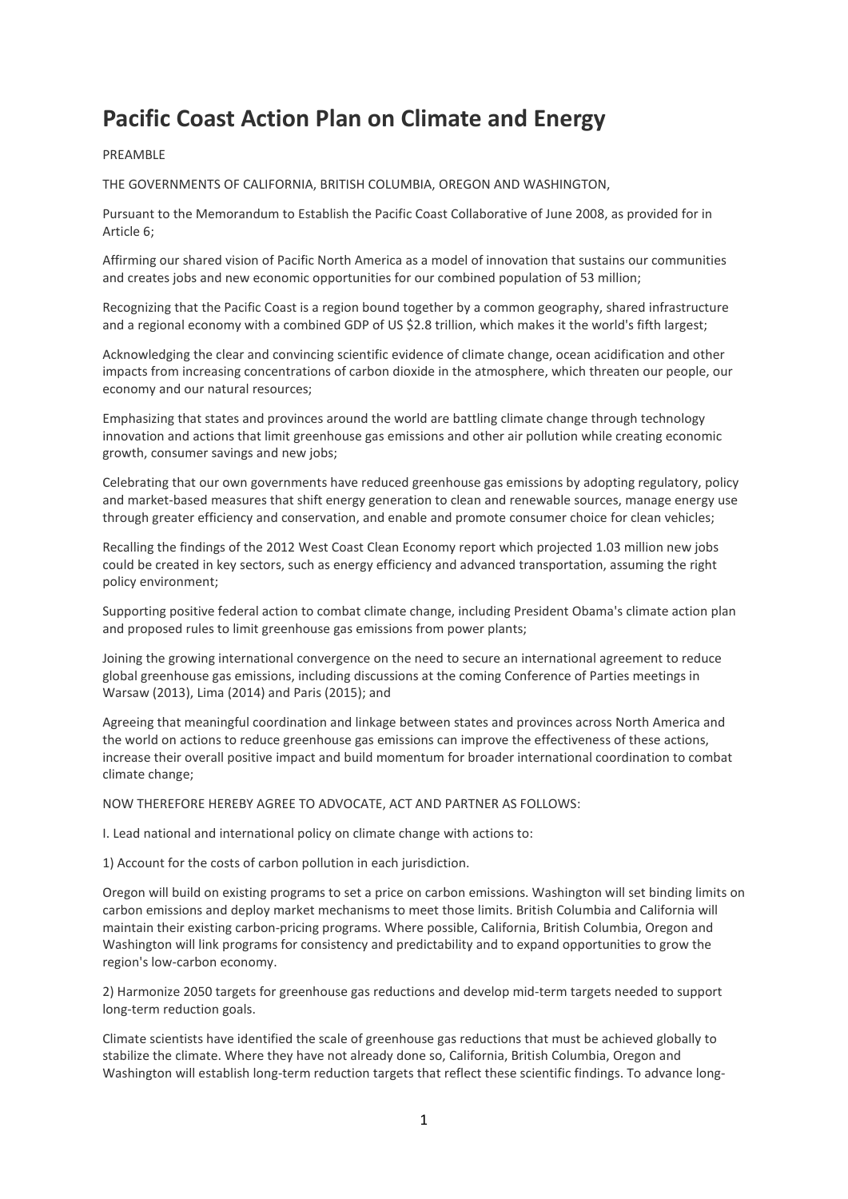## **Pacific Coast Action Plan on Climate and Energy**

## PREAMBLE

THE GOVERNMENTS OF CALIFORNIA, BRITISH COLUMBIA, OREGON AND WASHINGTON,

Pursuant to the Memorandum to Establish the Pacific Coast Collaborative of June 2008, as provided for in Article 6;

Affirming our shared vision of Pacific North America as a model of innovation that sustains our communities and creates jobs and new economic opportunities for our combined population of 53 million;

Recognizing that the Pacific Coast is a region bound together by a common geography, shared infrastructure and a regional economy with a combined GDP of US \$2.8 trillion, which makes it the world's fifth largest;

Acknowledging the clear and convincing scientific evidence of climate change, ocean acidification and other impacts from increasing concentrations of carbon dioxide in the atmosphere, which threaten our people, our economy and our natural resources;

Emphasizing that states and provinces around the world are battling climate change through technology innovation and actions that limit greenhouse gas emissions and other air pollution while creating economic growth, consumer savings and new jobs;

Celebrating that our own governments have reduced greenhouse gas emissions by adopting regulatory, policy and market-based measures that shift energy generation to clean and renewable sources, manage energy use through greater efficiency and conservation, and enable and promote consumer choice for clean vehicles;

Recalling the findings of the 2012 West Coast Clean Economy report which projected 1.03 million new jobs could be created in key sectors, such as energy efficiency and advanced transportation, assuming the right policy environment;

Supporting positive federal action to combat climate change, including President Obama's climate action plan and proposed rules to limit greenhouse gas emissions from power plants;

Joining the growing international convergence on the need to secure an international agreement to reduce global greenhouse gas emissions, including discussions at the coming Conference of Parties meetings in Warsaw (2013), Lima (2014) and Paris (2015); and

Agreeing that meaningful coordination and linkage between states and provinces across North America and the world on actions to reduce greenhouse gas emissions can improve the effectiveness of these actions, increase their overall positive impact and build momentum for broader international coordination to combat climate change;

NOW THEREFORE HEREBY AGREE TO ADVOCATE, ACT AND PARTNER AS FOLLOWS:

I. Lead national and international policy on climate change with actions to:

1) Account for the costs of carbon pollution in each jurisdiction.

Oregon will build on existing programs to set a price on carbon emissions. Washington will set binding limits on carbon emissions and deploy market mechanisms to meet those limits. British Columbia and California will maintain their existing carbon-pricing programs. Where possible, California, British Columbia, Oregon and Washington will link programs for consistency and predictability and to expand opportunities to grow the region's low-carbon economy.

2) Harmonize 2050 targets for greenhouse gas reductions and develop mid-term targets needed to support long-term reduction goals.

Climate scientists have identified the scale of greenhouse gas reductions that must be achieved globally to stabilize the climate. Where they have not already done so, California, British Columbia, Oregon and Washington will establish long-term reduction targets that reflect these scientific findings. To advance long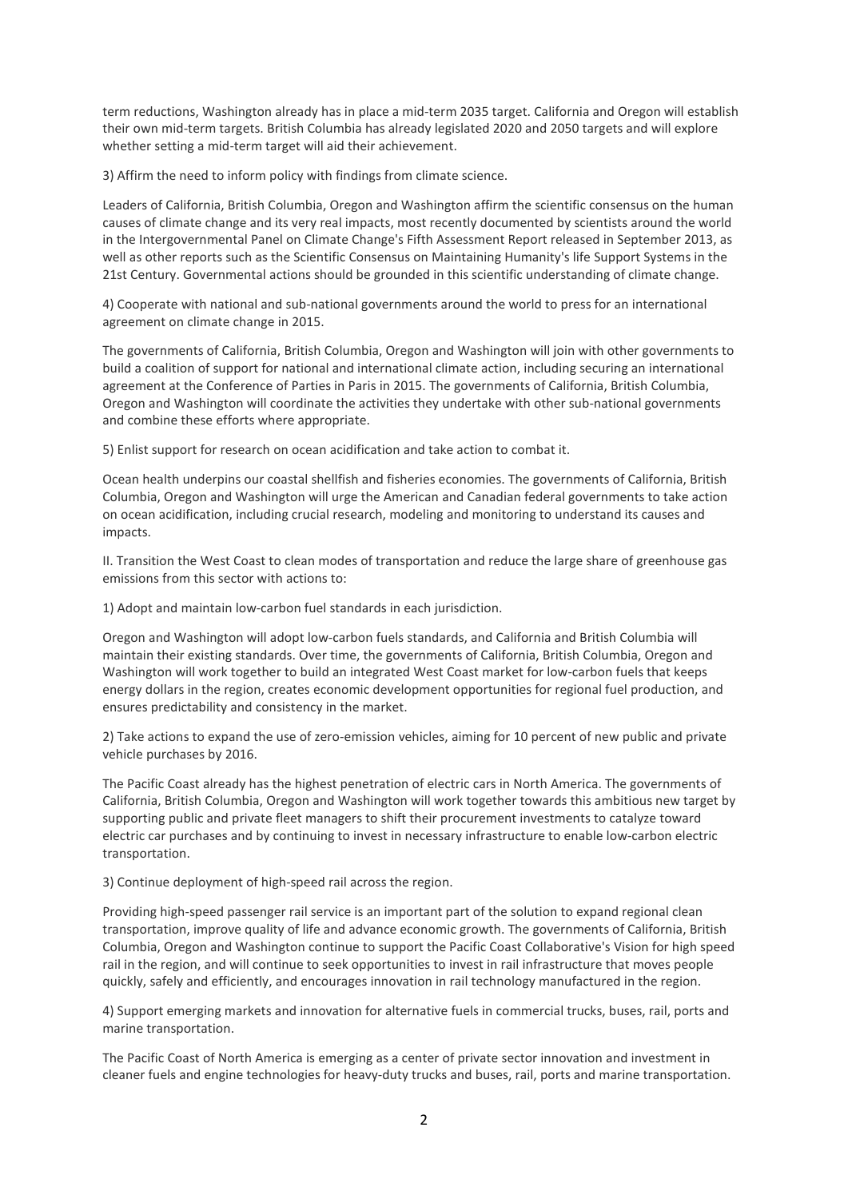term reductions, Washington already has in place a mid-term 2035 target. California and Oregon will establish their own mid-term targets. British Columbia has already legislated 2020 and 2050 targets and will explore whether setting a mid-term target will aid their achievement.

3) Affirm the need to inform policy with findings from climate science.

Leaders of California, British Columbia, Oregon and Washington affirm the scientific consensus on the human causes of climate change and its very real impacts, most recently documented by scientists around the world in the Intergovernmental Panel on Climate Change's Fifth Assessment Report released in September 2013, as well as other reports such as the Scientific Consensus on Maintaining Humanity's life Support Systems in the 21st Century. Governmental actions should be grounded in this scientific understanding of climate change.

4) Cooperate with national and sub-national governments around the world to press for an international agreement on climate change in 2015.

The governments of California, British Columbia, Oregon and Washington will join with other governments to build a coalition of support for national and international climate action, including securing an international agreement at the Conference of Parties in Paris in 2015. The governments of California, British Columbia, Oregon and Washington will coordinate the activities they undertake with other sub-national governments and combine these efforts where appropriate.

5) Enlist support for research on ocean acidification and take action to combat it.

Ocean health underpins our coastal shellfish and fisheries economies. The governments of California, British Columbia, Oregon and Washington will urge the American and Canadian federal governments to take action on ocean acidification, including crucial research, modeling and monitoring to understand its causes and impacts.

II. Transition the West Coast to clean modes of transportation and reduce the large share of greenhouse gas emissions from this sector with actions to:

1) Adopt and maintain low-carbon fuel standards in each jurisdiction.

Oregon and Washington will adopt low-carbon fuels standards, and California and British Columbia will maintain their existing standards. Over time, the governments of California, British Columbia, Oregon and Washington will work together to build an integrated West Coast market for low-carbon fuels that keeps energy dollars in the region, creates economic development opportunities for regional fuel production, and ensures predictability and consistency in the market.

2) Take actions to expand the use of zero-emission vehicles, aiming for 10 percent of new public and private vehicle purchases by 2016.

The Pacific Coast already has the highest penetration of electric cars in North America. The governments of California, British Columbia, Oregon and Washington will work together towards this ambitious new target by supporting public and private fleet managers to shift their procurement investments to catalyze toward electric car purchases and by continuing to invest in necessary infrastructure to enable low-carbon electric transportation.

3) Continue deployment of high-speed rail across the region.

Providing high-speed passenger rail service is an important part of the solution to expand regional clean transportation, improve quality of life and advance economic growth. The governments of California, British Columbia, Oregon and Washington continue to support the Pacific Coast Collaborative's Vision for high speed rail in the region, and will continue to seek opportunities to invest in rail infrastructure that moves people quickly, safely and efficiently, and encourages innovation in rail technology manufactured in the region.

4) Support emerging markets and innovation for alternative fuels in commercial trucks, buses, rail, ports and marine transportation.

The Pacific Coast of North America is emerging as a center of private sector innovation and investment in cleaner fuels and engine technologies for heavy-duty trucks and buses, rail, ports and marine transportation.